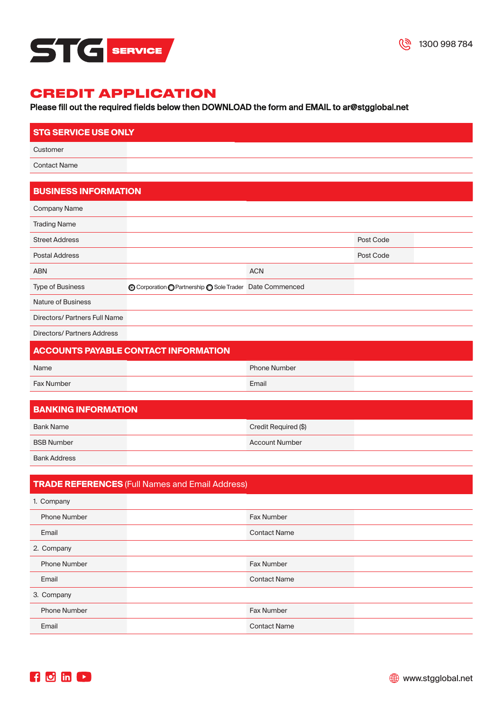

### Please fill out the required fields below then DOWNLOAD the form and EMAIL to [ar@stgglobal.net](mailto:ar@stgglobal.net)

| <b>STG SERVICE USE ONLY</b> |  |
|-----------------------------|--|
| Customer                    |  |
| <b>Contact Name</b>         |  |
|                             |  |

### **BUSINESS INFORMATION**

|            | Post Code                                                |  |
|------------|----------------------------------------------------------|--|
|            | Post Code                                                |  |
| <b>ACN</b> |                                                          |  |
|            |                                                          |  |
|            |                                                          |  |
|            |                                                          |  |
|            | ⊙ Corporation O Partnership O Sole Trader Date Commenced |  |

Directors/ Partners Address

### **ACCOUNTS PAYABLE CONTACT INFORMATION**

| Name              | <b>Phone Number</b> |  |
|-------------------|---------------------|--|
| <b>Fax Number</b> | Email               |  |

| <b>BANKING INFORMATION</b> |  |                       |  |
|----------------------------|--|-----------------------|--|
| Bank Name                  |  | Credit Required (\$)  |  |
| <b>BSB Number</b>          |  | <b>Account Number</b> |  |
|                            |  |                       |  |

Bank Address

### **TRADE REFERENCES** (Full Names and Email Address)

| 1. Company          |                     |  |
|---------------------|---------------------|--|
| <b>Phone Number</b> | Fax Number          |  |
| Email               | <b>Contact Name</b> |  |
| 2. Company          |                     |  |
| <b>Phone Number</b> | Fax Number          |  |
| Email               | <b>Contact Name</b> |  |
| 3. Company          |                     |  |
| <b>Phone Number</b> | Fax Number          |  |
| Email               | <b>Contact Name</b> |  |

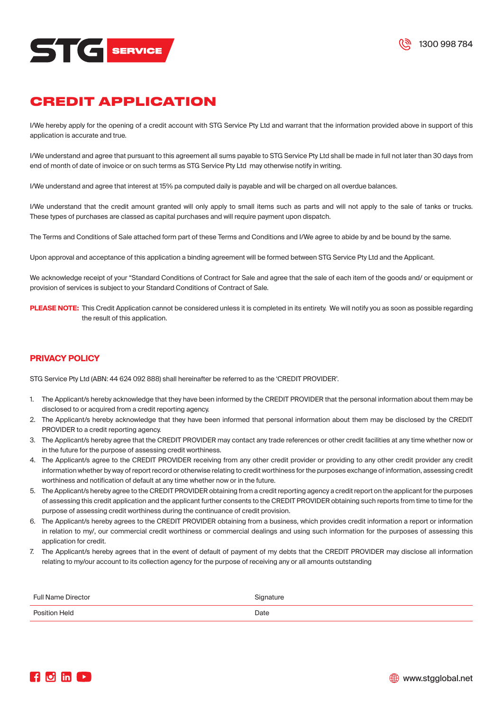

I/We hereby apply for the opening of a credit account with STG Service Pty Ltd and warrant that the information provided above in support of this application is accurate and true.

I/We understand and agree that pursuant to this agreement all sums payable to STG Service Pty Ltd shall be made in full not later than 30 days from end of month of date of invoice or on such terms as STG Service Pty Ltd may otherwise notify in writing.

I/We understand and agree that interest at 15% pa computed daily is payable and will be charged on all overdue balances.

I/We understand that the credit amount granted will only apply to small items such as parts and will not apply to the sale of tanks or trucks. These types of purchases are classed as capital purchases and will require payment upon dispatch.

The Terms and Conditions of Sale attached form part of these Terms and Conditions and I/We agree to abide by and be bound by the same.

Upon approval and acceptance of this application a binding agreement will be formed between STG Service Pty Ltd and the Applicant.

We acknowledge receipt of your "Standard Conditions of Contract for Sale and agree that the sale of each item of the goods and/ or equipment or provision of services is subject to your Standard Conditions of Contract of Sale.

**PLEASE NOTE:** This Credit Application cannot be considered unless it is completed in its entirety. We will notify you as soon as possible regarding the result of this application.

### **PRIVACY POLICY**

STG Service Pty Ltd (ABN: 44 624 092 888) shall hereinafter be referred to as the 'CREDIT PROVIDER'.

- 1. The Applicant/s hereby acknowledge that they have been informed by the CREDIT PROVIDER that the personal information about them may be disclosed to or acquired from a credit reporting agency.
- 2. The Applicant/s hereby acknowledge that they have been informed that personal information about them may be disclosed by the CREDIT PROVIDER to a credit reporting agency.
- 3. The Applicant/s hereby agree that the CREDIT PROVIDER may contact any trade references or other credit facilities at any time whether now or in the future for the purpose of assessing credit worthiness.
- 4. The Applicant/s agree to the CREDIT PROVIDER receiving from any other credit provider or providing to any other credit provider any credit information whether by way of report record or otherwise relating to credit worthiness for the purposes exchange of information, assessing credit worthiness and notification of default at any time whether now or in the future.
- 5. The Applicant/s hereby agree to the CREDIT PROVIDER obtaining from a credit reporting agency a credit report on the applicant for the purposes of assessing this credit application and the applicant further consents to the CREDIT PROVIDER obtaining such reports from time to time for the purpose of assessing credit worthiness during the continuance of credit provision.
- 6. The Applicant/s hereby agrees to the CREDIT PROVIDER obtaining from a business, which provides credit information a report or information in relation to my/, our commercial credit worthiness or commercial dealings and using such information for the purposes of assessing this application for credit.
- 7. The Applicant/s hereby agrees that in the event of default of payment of my debts that the CREDIT PROVIDER may disclose all information relating to my/our account to its collection agency for the purpose of receiving any or all amounts outstanding

| <b>Full Name Director</b> | Signature |
|---------------------------|-----------|
| Position Held             | Date      |



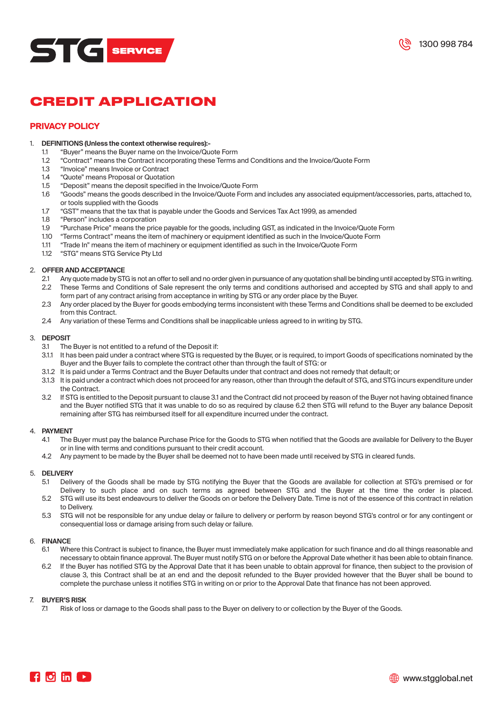



### **PRIVACY POLICY**

# 1. **DEFINITIONS (Unless the context otherwise requires):-**

- 1.1 "Buyer" means the Buyer name on the Invoice/Quote Form<br>1.2 "Contract" means the Contract incorporating these Terms
- 1.2 "Contract" means the Contract incorporating these Terms and Conditions and the Invoice/Quote Form<br>1.3 "Invoice" means Invoice or Contract
- 1.3 "Invoice" means Invoice or Contract
- 1.4 "Quote" means Proposal or Quotation<br>1.5 "Deposit" means the deposit specifies
- 1.5 "Deposit" means the deposit specified in the Invoice/Quote Form
- 1.6 "Goods" means the goods described in the Invoice/Quote Form and includes any associated equipment/accessories, parts, attached to, or tools supplied with the Goods
- 1.7 "GST" means that the tax that is payable under the Goods and Services Tax Act 1999, as amended 1.8 "Person" includes a corporation
- 1.8 "Person" includes a corporation<br>1.9 "Purchase Price" means the pric
- 1.9 "Purchase Price" means the price payable for the goods, including GST, as indicated in the Invoice/Quote Form
- 1.10 "Terms Contract" means the item of machinery or equipment identified as such in the Invoice/Quote Form<br>1.11 "Trade In" means the item of machinery or equipment identified as such in the Invoice/Quote Form
- 1.11 "Trade In" means the item of machinery or equipment identified as such in the Invoice/Quote Form
- 1.12 "STG" means STG Service Pty Ltd

#### 2. **OFFER AND ACCEPTANCE**

- 2.1 Any quote made by STG is not an offer to sell and no order given in pursuance of any quotation shall be binding until accepted by STG in writing. 2.2 These Terms and Conditions of Sale represent the only terms and conditions authorised and accepted by STG and shall apply to and
- form part of any contract arising from acceptance in writing by STG or any order place by the Buyer. 2.3 Any order placed by the Buyer for goods embodying terms inconsistent with these Terms and Conditions shall be deemed to be excluded from this Contract.
- 2.4 Any variation of these Terms and Conditions shall be inapplicable unless agreed to in writing by STG.

# 3. **DEPOSIT**

- The Buyer is not entitled to a refund of the Deposit if:
- 3.1.1 It has been paid under a contract where STG is requested by the Buyer, or is required, to import Goods of specifications nominated by the Buyer and the Buyer fails to complete the contract other than through the fault of STG: or
- 3.1.2 It is paid under a Terms Contract and the Buyer Defaults under that contract and does not remedy that default; or
- 3.1.3 It is paid under a contract which does not proceed for any reason, other than through the default of STG, and STG incurs expenditure under the Contract.
- 3.2 If STG is entitled to the Deposit pursuant to clause 3.1 and the Contract did not proceed by reason of the Buyer not having obtained finance and the Buyer notified STG that it was unable to do so as required by clause 6.2 then STG will refund to the Buyer any balance Deposit remaining after STG has reimbursed itself for all expenditure incurred under the contract.

## 4. **PAYMENT**

- The Buyer must pay the balance Purchase Price for the Goods to STG when notified that the Goods are available for Delivery to the Buyer or in line with terms and conditions pursuant to their credit account.
- 4.2 Any payment to be made by the Buyer shall be deemed not to have been made until received by STG in cleared funds.

#### 5. **DELIVERY**

- 5.1 Delivery of the Goods shall be made by STG notifying the Buyer that the Goods are available for collection at STG's premised or for Delivery to such place and on such terms as agreed between STG and the Buyer at the time the order is placed.
- 5.2 STG will use its best endeavours to deliver the Goods on or before the Delivery Date. Time is not of the essence of this contract in relation to Delivery.
- 5.3 STG will not be responsible for any undue delay or failure to delivery or perform by reason beyond STG's control or for any contingent or consequential loss or damage arising from such delay or failure.

#### 6. **FINANCE**

- 6.1 Where this Contract is subject to finance, the Buyer must immediately make application for such finance and do all things reasonable and necessary to obtain finance approval. The Buyer must notify STG on or before the Approval Date whether it has been able to obtain finance.
- 6.2 If the Buyer has notified STG by the Approval Date that it has been unable to obtain approval for finance, then subject to the provision of clause 3, this Contract shall be at an end and the deposit refunded to the Buyer provided however that the Buyer shall be bound to complete the purchase unless it notifies STG in writing on or prior to the Approval Date that finance has not been approved.

## 7. **BUYER'S RISK**

Risk of loss or damage to the Goods shall pass to the Buyer on delivery to or collection by the Buyer of the Goods.